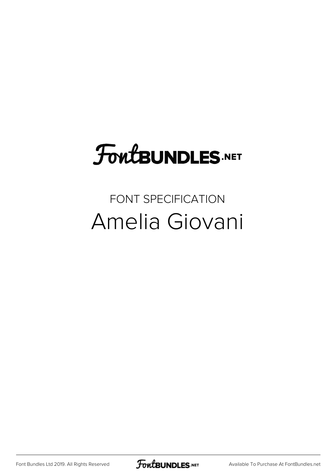## **FoutBUNDLES.NET**

## FONT SPECIFICATION Amelia Giovani

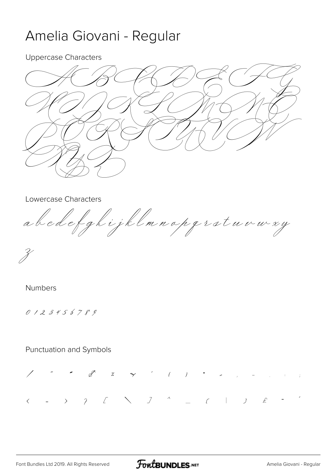## Amelia Giovani - Regular

**Uppercase Characters** 



Lowercase Characters

abedefghijklmnopprotuvwxy

Ž

**Numbers** 

0123456789

**Punctuation and Symbols** 

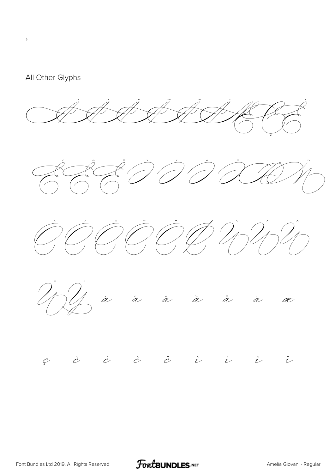

 $\mathbf{J}$ 



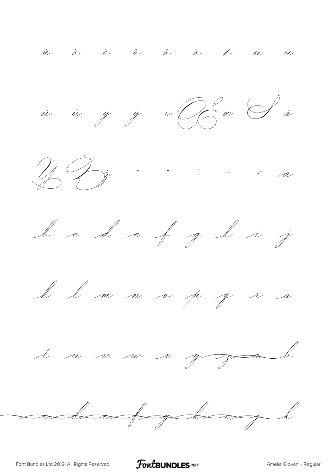ñ à á à ā ā d ù ú











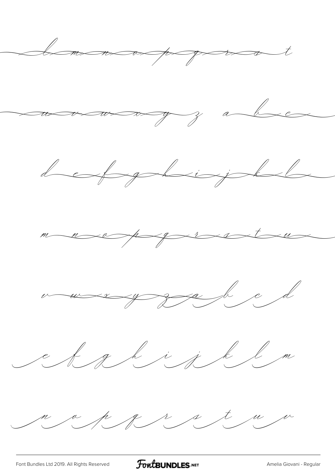

[Font Bundles Ltd 2019. All Rights Reserved](https://fontbundles.net/) **FoutBUNDLES.NET** [Amelia Giovani - Regular](https://fontbundles.net/)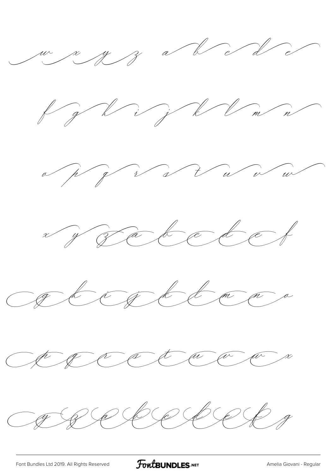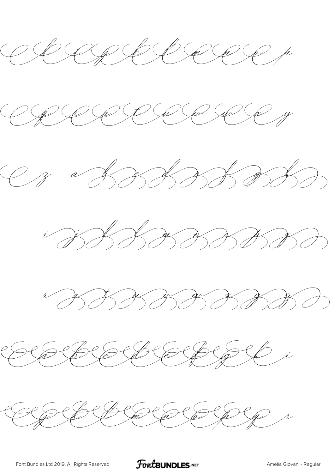CBACCCCCCCCC











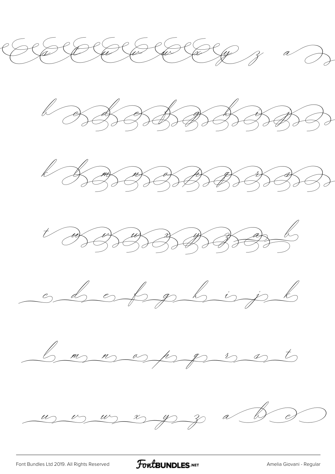











 $\frac{u}{v}$   $\frac{u}{v}$   $\frac{v}{v}$   $\frac{v}{v}$   $\frac{v}{v}$   $\frac{v}{v}$   $\frac{v}{v}$ 

[Font Bundles Ltd 2019. All Rights Reserved](https://fontbundles.net/) **FoutBUNDLES.NET** [Amelia Giovani - Regular](https://fontbundles.net/)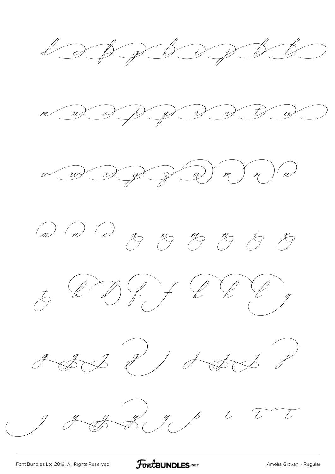













[Font Bundles Ltd 2019. All Rights Reserved](https://fontbundles.net/) **FoutBUNDLES.NET** [Amelia Giovani - Regular](https://fontbundles.net/)